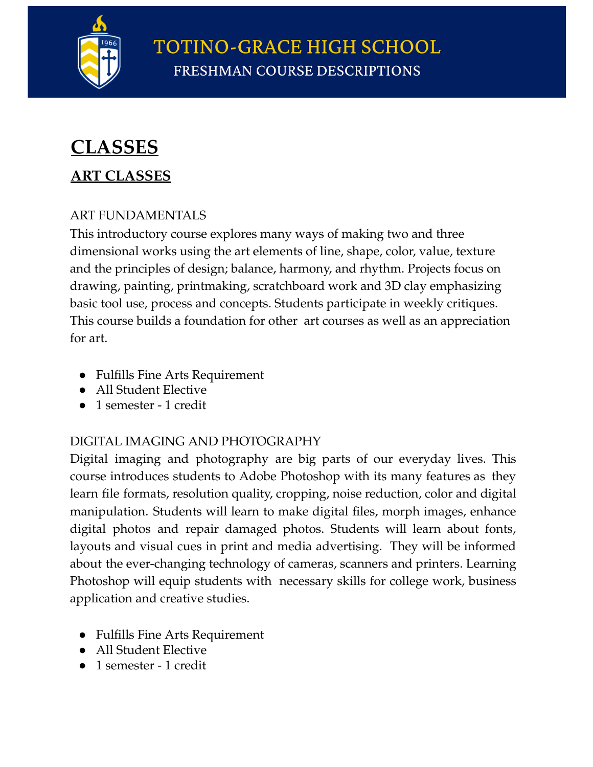

**TOTINO-GRACE HIGH SCHOOL FRESHMAN COURSE DESCRIPTIONS** 

# q**CLASSES**

### **ART CLASSES**

#### ART FUNDAMENTALS

This introductory course explores many ways of making two and three dimensional works using the art elements of line, shape, color, value, texture and the principles of design; balance, harmony, and rhythm. Projects focus on drawing, painting, printmaking, scratchboard work and 3D clay emphasizing basic tool use, process and concepts. Students participate in weekly critiques. This course builds a foundation for other art courses as well as an appreciation for art.

- Fulfills Fine Arts Requirement
- All Student Elective
- 1 semester 1 credit

#### DIGITAL IMAGING AND PHOTOGRAPHY

Digital imaging and photography are big parts of our everyday lives. This course introduces students to Adobe Photoshop with its many features as they learn file formats, resolution quality, cropping, noise reduction, color and digital manipulation. Students will learn to make digital files, morph images, enhance digital photos and repair damaged photos. Students will learn about fonts, layouts and visual cues in print and media advertising. They will be informed about the ever-changing technology of cameras, scanners and printers. Learning Photoshop will equip students with necessary skills for college work, business application and creative studies.

- Fulfills Fine Arts Requirement
- All Student Elective
- 1 semester 1 credit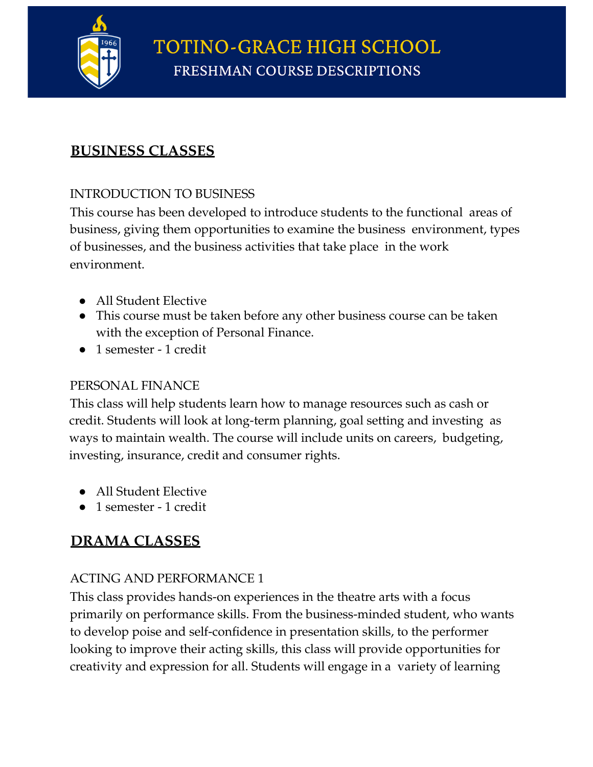

### **BUSINESS CLASSES**

#### INTRODUCTION TO BUSINESS

This course has been developed to introduce students to the functional areas of business, giving them opportunities to examine the business environment, types of businesses, and the business activities that take place in the work environment.

- All Student Elective
- This course must be taken before any other business course can be taken with the exception of Personal Finance.
- 1 semester 1 credit

#### PERSONAL FINANCE

This class will help students learn how to manage resources such as cash or credit. Students will look at long-term planning, goal setting and investing as ways to maintain wealth. The course will include units on careers, budgeting, investing, insurance, credit and consumer rights.

- All Student Elective
- 1 semester 1 credit

### **DRAMA CLASSES**

#### ACTING AND PERFORMANCE 1

This class provides hands-on experiences in the theatre arts with a focus primarily on performance skills. From the business-minded student, who wants to develop poise and self-confidence in presentation skills, to the performer looking to improve their acting skills, this class will provide opportunities for creativity and expression for all. Students will engage in a variety of learning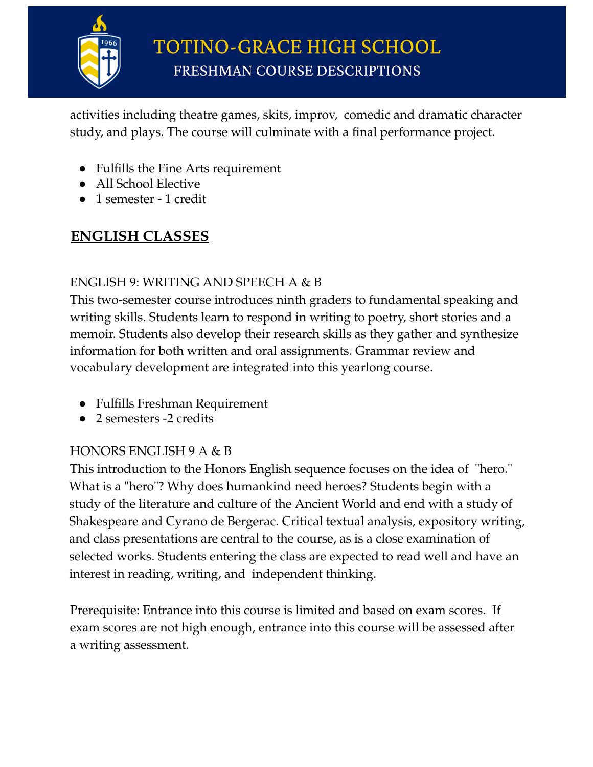

activities including theatre games, skits, improv, comedic and dramatic character study, and plays. The course will culminate with a final performance project.

- Fulfills the Fine Arts requirement
- All School Elective
- 1 semester 1 credit

## **ENGLISH CLASSES**

#### ENGLISH 9: WRITING AND SPEECH A & B

This two-semester course introduces ninth graders to fundamental speaking and writing skills. Students learn to respond in writing to poetry, short stories and a memoir. Students also develop their research skills as they gather and synthesize information for both written and oral assignments. Grammar review and vocabulary development are integrated into this yearlong course.

- Fulfills Freshman Requirement
- 2 semesters -2 credits

#### HONORS ENGLISH 9 A & B

This introduction to the Honors English sequence focuses on the idea of "hero." What is a "hero"? Why does humankind need heroes? Students begin with a study of the literature and culture of the Ancient World and end with a study of Shakespeare and Cyrano de Bergerac. Critical textual analysis, expository writing, and class presentations are central to the course, as is a close examination of selected works. Students entering the class are expected to read well and have an interest in reading, writing, and independent thinking.

Prerequisite: Entrance into this course is limited and based on exam scores. If exam scores are not high enough, entrance into this course will be assessed after a writing assessment.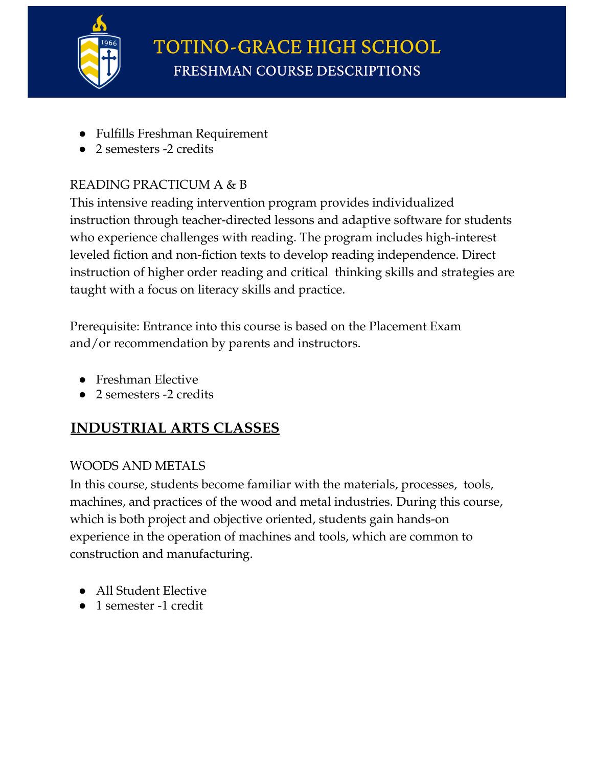

- Fulfills Freshman Requirement
- 2 semesters -2 credits

### READING PRACTICUM A & B

This intensive reading intervention program provides individualized instruction through teacher-directed lessons and adaptive software for students who experience challenges with reading. The program includes high-interest leveled fiction and non-fiction texts to develop reading independence. Direct instruction of higher order reading and critical thinking skills and strategies are taught with a focus on literacy skills and practice.

Prerequisite: Entrance into this course is based on the Placement Exam and/or recommendation by parents and instructors.

- Freshman Elective
- 2 semesters -2 credits

## **INDUSTRIAL ARTS CLASSES**

#### WOODS AND METALS

In this course, students become familiar with the materials, processes, tools, machines, and practices of the wood and metal industries. During this course, which is both project and objective oriented, students gain hands-on experience in the operation of machines and tools, which are common to construction and manufacturing.

- All Student Elective
- 1 semester -1 credit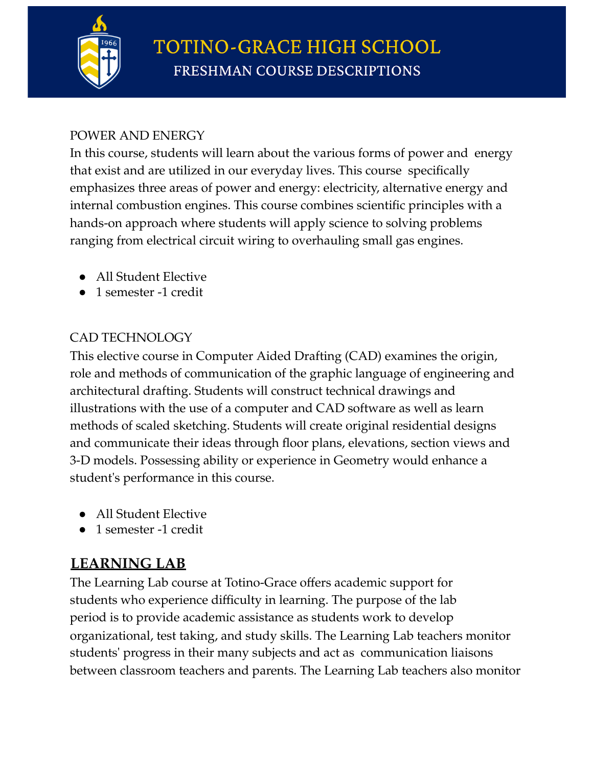

#### POWER AND ENERGY

In this course, students will learn about the various forms of power and energy that exist and are utilized in our everyday lives. This course specifically emphasizes three areas of power and energy: electricity, alternative energy and internal combustion engines. This course combines scientific principles with a hands-on approach where students will apply science to solving problems ranging from electrical circuit wiring to overhauling small gas engines.

- All Student Elective
- 1 semester -1 credit

#### CAD TECHNOLOGY

This elective course in Computer Aided Drafting (CAD) examines the origin, role and methods of communication of the graphic language of engineering and architectural drafting. Students will construct technical drawings and illustrations with the use of a computer and CAD software as well as learn methods of scaled sketching. Students will create original residential designs and communicate their ideas through floor plans, elevations, section views and 3-D models. Possessing ability or experience in Geometry would enhance a student's performance in this course.

- All Student Elective
- 1 semester -1 credit

## **LEARNING LAB**

The Learning Lab course at Totino-Grace offers academic support for students who experience difficulty in learning. The purpose of the lab period is to provide academic assistance as students work to develop organizational, test taking, and study skills. The Learning Lab teachers monitor students' progress in their many subjects and act as communication liaisons between classroom teachers and parents. The Learning Lab teachers also monitor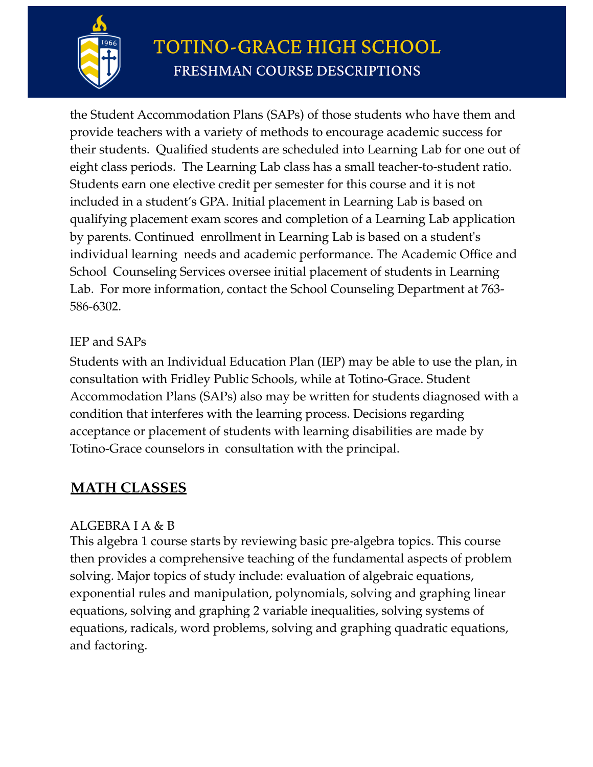

the Student Accommodation Plans (SAPs) of those students who have them and provide teachers with a variety of methods to encourage academic success for their students. Qualified students are scheduled into Learning Lab for one out of eight class periods. The Learning Lab class has a small teacher-to-student ratio. Students earn one elective credit per semester for this course and it is not included in a student's GPA. Initial placement in Learning Lab is based on qualifying placement exam scores and completion of a Learning Lab application by parents. Continued enrollment in Learning Lab is based on a student's individual learning needs and academic performance. The Academic Office and School Counseling Services oversee initial placement of students in Learning Lab. For more information, contact the School Counseling Department at 763- 586-6302.

#### IEP and SAPs

Students with an Individual Education Plan (IEP) may be able to use the plan, in consultation with Fridley Public Schools, while at Totino-Grace. Student Accommodation Plans (SAPs) also may be written for students diagnosed with a condition that interferes with the learning process. Decisions regarding acceptance or placement of students with learning disabilities are made by Totino-Grace counselors in consultation with the principal.

## **MATH CLASSES**

#### ALGEBRA I A & B

This algebra 1 course starts by reviewing basic pre-algebra topics. This course then provides a comprehensive teaching of the fundamental aspects of problem solving. Major topics of study include: evaluation of algebraic equations, exponential rules and manipulation, polynomials, solving and graphing linear equations, solving and graphing 2 variable inequalities, solving systems of equations, radicals, word problems, solving and graphing quadratic equations, and factoring.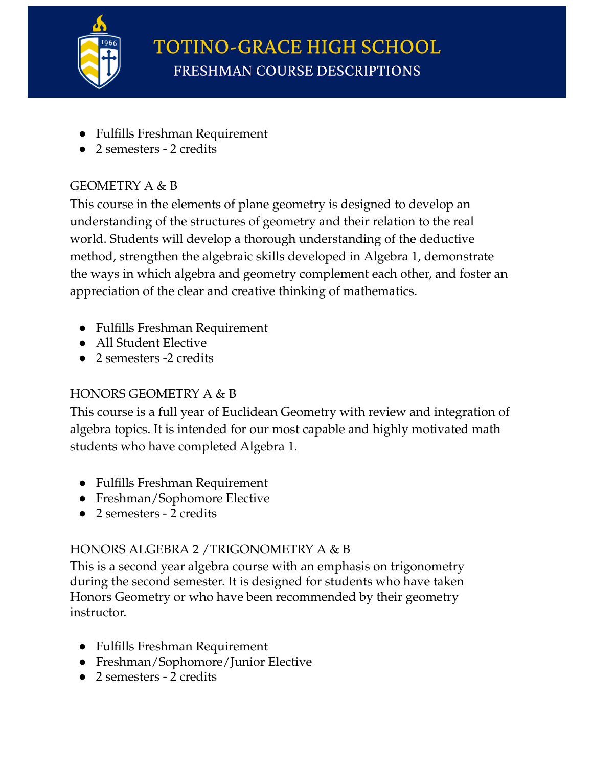

- Fulfills Freshman Requirement
- 2 semesters 2 credits

#### GEOMETRY A & B

This course in the elements of plane geometry is designed to develop an understanding of the structures of geometry and their relation to the real world. Students will develop a thorough understanding of the deductive method, strengthen the algebraic skills developed in Algebra 1, demonstrate the ways in which algebra and geometry complement each other, and foster an appreciation of the clear and creative thinking of mathematics.

- Fulfills Freshman Requirement
- All Student Elective
- 2 semesters -2 credits

### HONORS GEOMETRY A & B

This course is a full year of Euclidean Geometry with review and integration of algebra topics. It is intended for our most capable and highly motivated math students who have completed Algebra 1.

- Fulfills Freshman Requirement
- Freshman/Sophomore Elective
- 2 semesters 2 credits

### HONORS ALGEBRA 2 /TRIGONOMETRY A & B

This is a second year algebra course with an emphasis on trigonometry during the second semester. It is designed for students who have taken Honors Geometry or who have been recommended by their geometry instructor.

- Fulfills Freshman Requirement
- Freshman/Sophomore/Junior Elective
- 2 semesters 2 credits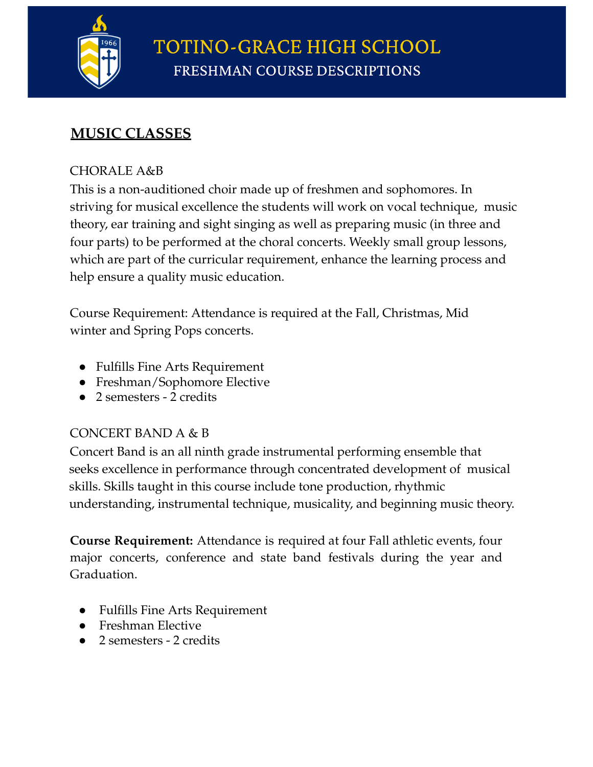

## **MUSIC CLASSES**

#### CHORALE A&B

This is a non-auditioned choir made up of freshmen and sophomores. In striving for musical excellence the students will work on vocal technique, music theory, ear training and sight singing as well as preparing music (in three and four parts) to be performed at the choral concerts. Weekly small group lessons, which are part of the curricular requirement, enhance the learning process and help ensure a quality music education.

Course Requirement: Attendance is required at the Fall, Christmas, Mid winter and Spring Pops concerts.

- Fulfills Fine Arts Requirement
- Freshman/Sophomore Elective
- 2 semesters 2 credits

#### CONCERT BAND A & B

Concert Band is an all ninth grade instrumental performing ensemble that seeks excellence in performance through concentrated development of musical skills. Skills taught in this course include tone production, rhythmic understanding, instrumental technique, musicality, and beginning music theory.

**Course Requirement:** Attendance is required at four Fall athletic events, four major concerts, conference and state band festivals during the year and Graduation.

- **Fulfills Fine Arts Requirement**
- Freshman Elective
- 2 semesters 2 credits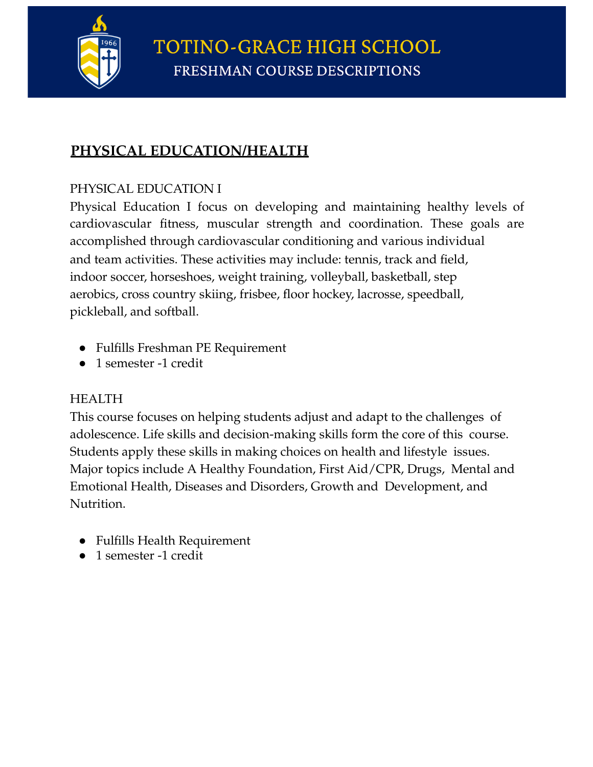

### **PHYSICAL EDUCATION/HEALTH**

#### PHYSICAL EDUCATION I

Physical Education I focus on developing and maintaining healthy levels of cardiovascular fitness, muscular strength and coordination. These goals are accomplished through cardiovascular conditioning and various individual and team activities. These activities may include: tennis, track and field, indoor soccer, horseshoes, weight training, volleyball, basketball, step aerobics, cross country skiing, frisbee, floor hockey, lacrosse, speedball, pickleball, and softball.

- Fulfills Freshman PE Requirement
- 1 semester -1 credit

#### HEALTH

This course focuses on helping students adjust and adapt to the challenges of adolescence. Life skills and decision-making skills form the core of this course. Students apply these skills in making choices on health and lifestyle issues. Major topics include A Healthy Foundation, First Aid/CPR, Drugs, Mental and Emotional Health, Diseases and Disorders, Growth and Development, and Nutrition.

- Fulfills Health Requirement
- 1 semester -1 credit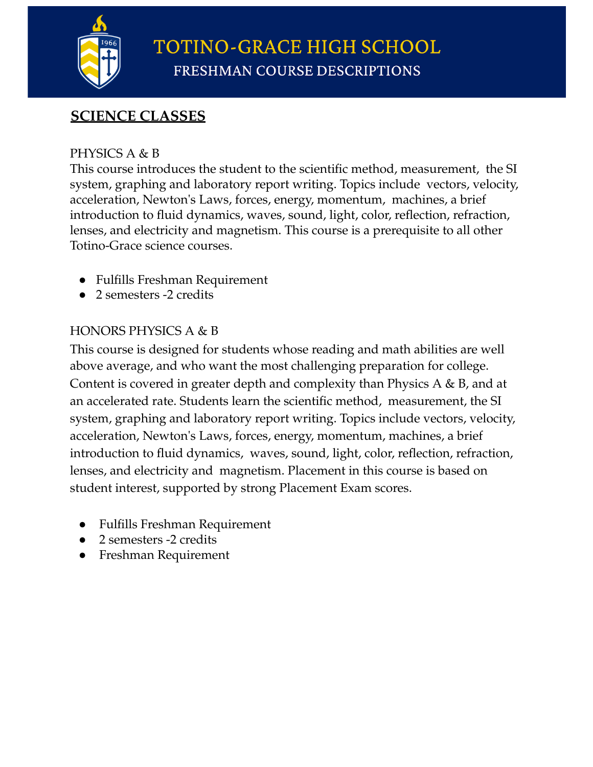

## **SCIENCE CLASSES**

#### PHYSICS A & B

This course introduces the student to the scientific method, measurement, the SI system, graphing and laboratory report writing. Topics include vectors, velocity, acceleration, Newton's Laws, forces, energy, momentum, machines, a brief introduction to fluid dynamics, waves, sound, light, color, reflection, refraction, lenses, and electricity and magnetism. This course is a prerequisite to all other Totino-Grace science courses.

- Fulfills Freshman Requirement
- 2 semesters -2 credits

#### HONORS PHYSICS A & B

This course is designed for students whose reading and math abilities are well above average, and who want the most challenging preparation for college. Content is covered in greater depth and complexity than Physics A & B, and at an accelerated rate. Students learn the scientific method, measurement, the SI system, graphing and laboratory report writing. Topics include vectors, velocity, acceleration, Newton's Laws, forces, energy, momentum, machines, a brief introduction to fluid dynamics, waves, sound, light, color, reflection, refraction, lenses, and electricity and magnetism. Placement in this course is based on student interest, supported by strong Placement Exam scores.

- **Fulfills Freshman Requirement**
- 2 semesters -2 credits
- **Freshman Requirement**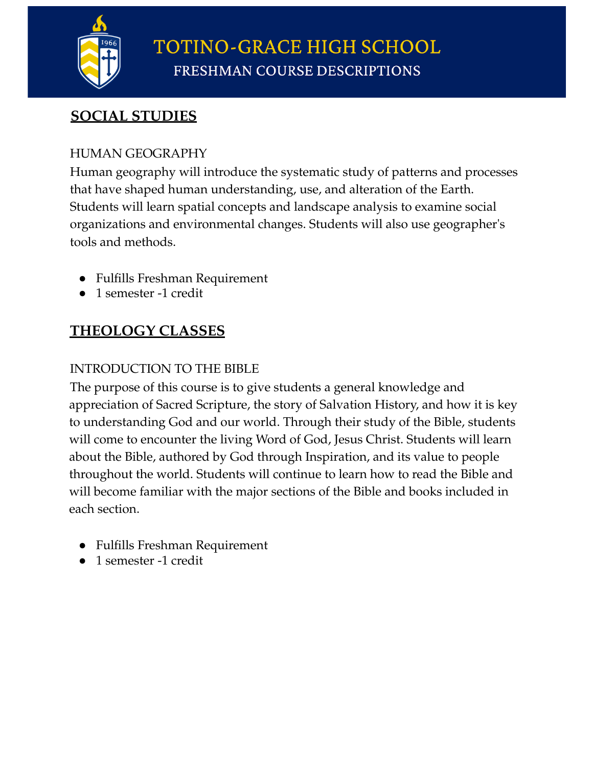

**TOTINO-GRACE HIGH SCHOOL** FRESHMAN COURSE DESCRIPTIONS

## **SOCIAL STUDIES**

#### HUMAN GEOGRAPHY

Human geography will introduce the systematic study of patterns and processes that have shaped human understanding, use, and alteration of the Earth. Students will learn spatial concepts and landscape analysis to examine social organizations and environmental changes. Students will also use geographer's tools and methods.

- Fulfills Freshman Requirement
- 1 semester -1 credit

## **THEOLOGY CLASSES**

#### INTRODUCTION TO THE BIBLE

The purpose of this course is to give students a general knowledge and appreciation of Sacred Scripture, the story of Salvation History, and how it is key to understanding God and our world. Through their study of the Bible, students will come to encounter the living Word of God, Jesus Christ. Students will learn about the Bible, authored by God through Inspiration, and its value to people throughout the world. Students will continue to learn how to read the Bible and will become familiar with the major sections of the Bible and books included in each section.

- Fulfills Freshman Requirement
- 1 semester -1 credit